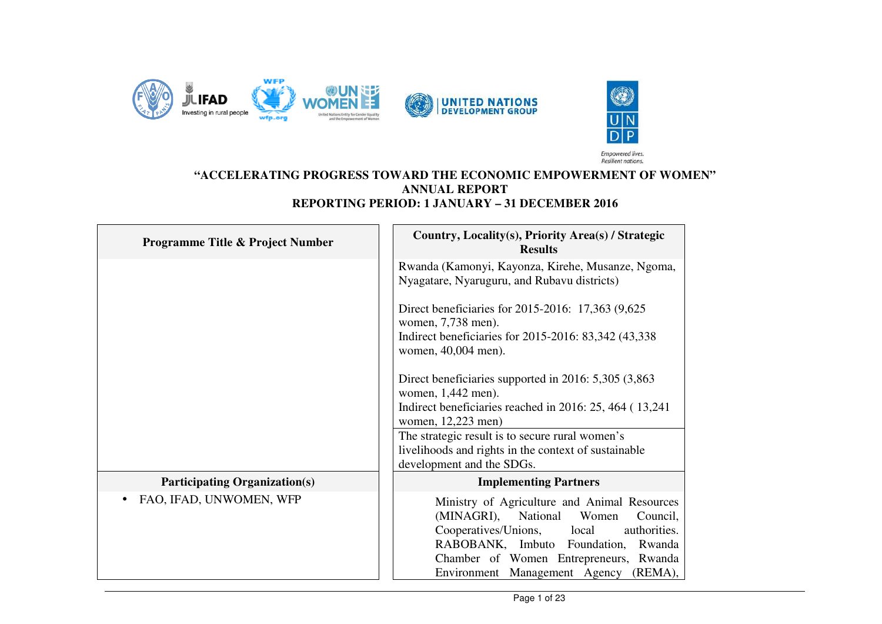



## **"ACCELERATING PROGRESS TOWARD THE ECONOMIC EMPOWERMENT OF WOMEN" ANNUAL REPORT REPORTING PERIOD: 1 JANUARY – 31 DECEMBER 2016**

| <b>Programme Title &amp; Project Number</b> | Country, Locality(s), Priority Area(s) / Strategic<br><b>Results</b>                                                                                                                                                                                                                                                                                                                                                          |  |  |
|---------------------------------------------|-------------------------------------------------------------------------------------------------------------------------------------------------------------------------------------------------------------------------------------------------------------------------------------------------------------------------------------------------------------------------------------------------------------------------------|--|--|
|                                             | Rwanda (Kamonyi, Kayonza, Kirehe, Musanze, Ngoma,<br>Nyagatare, Nyaruguru, and Rubavu districts)<br>Direct beneficiaries for 2015-2016: 17,363 (9,625)<br>women, 7,738 men).<br>Indirect beneficiaries for 2015-2016: 83,342 (43,338)<br>women, 40,004 men).<br>Direct beneficiaries supported in 2016: 5,305 (3,863)<br>women, 1,442 men).<br>Indirect beneficiaries reached in 2016: 25, 464 (13,241)<br>women, 12,223 men) |  |  |
|                                             | The strategic result is to secure rural women's<br>livelihoods and rights in the context of sustainable<br>development and the SDGs.                                                                                                                                                                                                                                                                                          |  |  |
| <b>Participating Organization(s)</b>        | <b>Implementing Partners</b>                                                                                                                                                                                                                                                                                                                                                                                                  |  |  |
| FAO, IFAD, UNWOMEN, WFP<br>$\bullet$        | Ministry of Agriculture and Animal Resources<br>(MINAGRI), National Women<br>Council,<br>Cooperatives/Unions, local<br>authorities.<br>RABOBANK, Imbuto Foundation,<br>Rwanda<br>Chamber of Women Entrepreneurs, Rwanda<br>Environment Management Agency<br>(REMA),                                                                                                                                                           |  |  |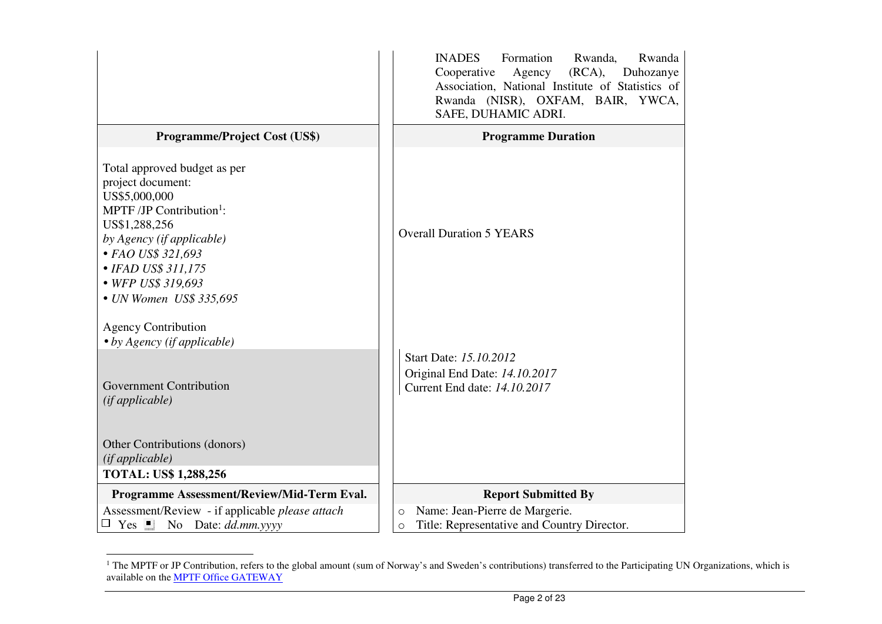|                                                                                                                                                                                                                                                        | <b>INADES</b><br>Formation<br>Rwanda<br>Rwanda,<br>(RCA),<br>Cooperative<br>Agency<br>Duhozanye<br>Association, National Institute of Statistics of<br>Rwanda (NISR), OXFAM, BAIR, YWCA,<br>SAFE, DUHAMIC ADRI. |
|--------------------------------------------------------------------------------------------------------------------------------------------------------------------------------------------------------------------------------------------------------|-----------------------------------------------------------------------------------------------------------------------------------------------------------------------------------------------------------------|
| <b>Programme/Project Cost (US\$)</b>                                                                                                                                                                                                                   | <b>Programme Duration</b>                                                                                                                                                                                       |
| Total approved budget as per<br>project document:<br>US\$5,000,000<br>MPTF /JP Contribution <sup>1</sup> :<br>US\$1,288,256<br>by Agency (if applicable)<br>• FAO US\$ 321,693<br>• IFAD US\$ 311,175<br>• WFP US\$ 319,693<br>• UN Women US\$ 335,695 | <b>Overall Duration 5 YEARS</b>                                                                                                                                                                                 |
| <b>Agency Contribution</b><br>$\bullet$ by Agency (if applicable)                                                                                                                                                                                      |                                                                                                                                                                                                                 |
| <b>Government Contribution</b><br>(ifappliedble)                                                                                                                                                                                                       | Start Date: 15.10.2012<br>Original End Date: 14.10.2017<br>Current End date: 14.10.2017                                                                                                                         |
| Other Contributions (donors)<br>(if applicable)<br><b>TOTAL: US\$ 1,288,256</b>                                                                                                                                                                        |                                                                                                                                                                                                                 |
| Programme Assessment/Review/Mid-Term Eval.                                                                                                                                                                                                             | <b>Report Submitted By</b>                                                                                                                                                                                      |
| Assessment/Review - if applicable please attach<br>$\Box$ Yes $\Box$<br>No Date: dd.mm.yyyy                                                                                                                                                            | Name: Jean-Pierre de Margerie.<br>$\circ$<br>Title: Representative and Country Director.<br>$\circ$                                                                                                             |

<sup>&</sup>lt;sup>1</sup> The MPTF or JP Contribution, refers to the global amount (sum of Norway's and Sweden's contributions) transferred to the Participating UN Organizations, which is available on the MPTF Office GATEWAY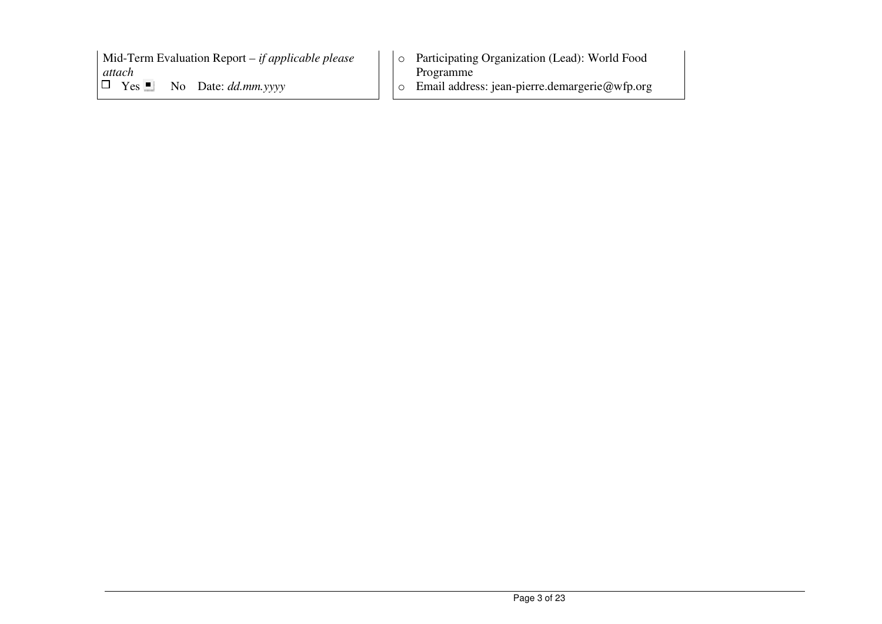Mid-Term Evaluation Report *– if applicable please attach* $\square$  Yes No Date: *dd.mm.yyyy* 

o Participating Organization (Lead): World Food Programme o Email address: jean-pierre.demargerie@wfp.org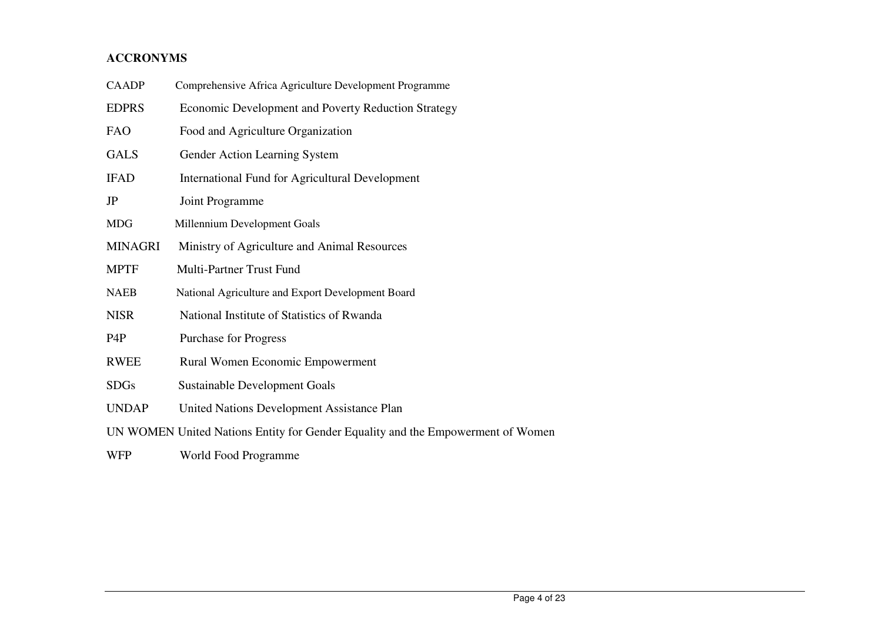# **ACCRONYMS**

| <b>CAADP</b>     | Comprehensive Africa Agriculture Development Programme                          |
|------------------|---------------------------------------------------------------------------------|
| <b>EDPRS</b>     | Economic Development and Poverty Reduction Strategy                             |
| <b>FAO</b>       | Food and Agriculture Organization                                               |
| <b>GALS</b>      | Gender Action Learning System                                                   |
| <b>IFAD</b>      | International Fund for Agricultural Development                                 |
| JP               | Joint Programme                                                                 |
| <b>MDG</b>       | Millennium Development Goals                                                    |
| <b>MINAGRI</b>   | Ministry of Agriculture and Animal Resources                                    |
| <b>MPTF</b>      | Multi-Partner Trust Fund                                                        |
| <b>NAEB</b>      | National Agriculture and Export Development Board                               |
| <b>NISR</b>      | National Institute of Statistics of Rwanda                                      |
| P <sub>4</sub> P | <b>Purchase for Progress</b>                                                    |
| <b>RWEE</b>      | Rural Women Economic Empowerment                                                |
| <b>SDGs</b>      | <b>Sustainable Development Goals</b>                                            |
| <b>UNDAP</b>     | United Nations Development Assistance Plan                                      |
|                  | UN WOMEN United Nations Entity for Gender Equality and the Empowerment of Women |
|                  |                                                                                 |

WFP World Food Programme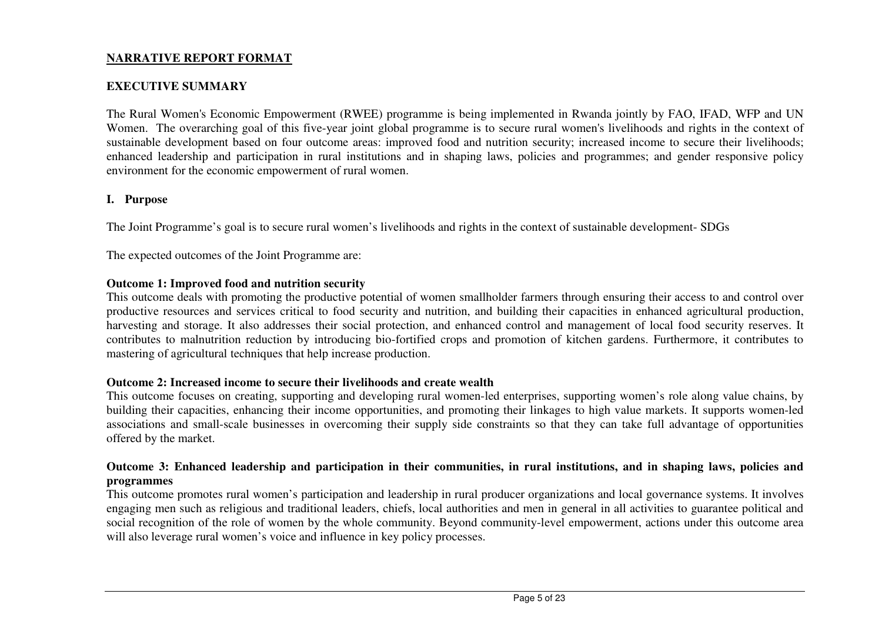### **NARRATIVE REPORT FORMAT**

#### **EXECUTIVE SUMMARY**

The Rural Women's Economic Empowerment (RWEE) programme is being implemented in Rwanda jointly by FAO, IFAD, WFP and UN Women. The overarching goal of this five-year joint global programme is to secure rural women's livelihoods and rights in the context of sustainable development based on four outcome areas: improved food and nutrition security; increased income to secure their livelihoods; enhanced leadership and participation in rural institutions and in shaping laws, policies and programmes; and gender responsive policy environment for the economic empowerment of rural women.

# **I. Purpose**

The Joint Programme's goal is to secure rural women's livelihoods and rights in the context of sustainable development- SDGs

The expected outcomes of the Joint Programme are:

### **Outcome 1: Improved food and nutrition security**

 This outcome deals with promoting the productive potential of women smallholder farmers through ensuring their access to and control over productive resources and services critical to food security and nutrition, and building their capacities in enhanced agricultural production, harvesting and storage. It also addresses their social protection, and enhanced control and management of local food security reserves. It contributes to malnutrition reduction by introducing bio-fortified crops and promotion of kitchen gardens. Furthermore, it contributes to mastering of agricultural techniques that help increase production.

#### **Outcome 2: Increased income to secure their livelihoods and create wealth**

 This outcome focuses on creating, supporting and developing rural women-led enterprises, supporting women's role along value chains, by building their capacities, enhancing their income opportunities, and promoting their linkages to high value markets. It supports women-led associations and small-scale businesses in overcoming their supply side constraints so that they can take full advantage of opportunities offered by the market.

#### **Outcome 3: Enhanced leadership and participation in their communities, in rural institutions, and in shaping laws, policies and programmes**

 This outcome promotes rural women's participation and leadership in rural producer organizations and local governance systems. It involves engaging men such as religious and traditional leaders, chiefs, local authorities and men in general in all activities to guarantee political and social recognition of the role of women by the whole community. Beyond community-level empowerment, actions under this outcome area will also leverage rural women's voice and influence in key policy processes.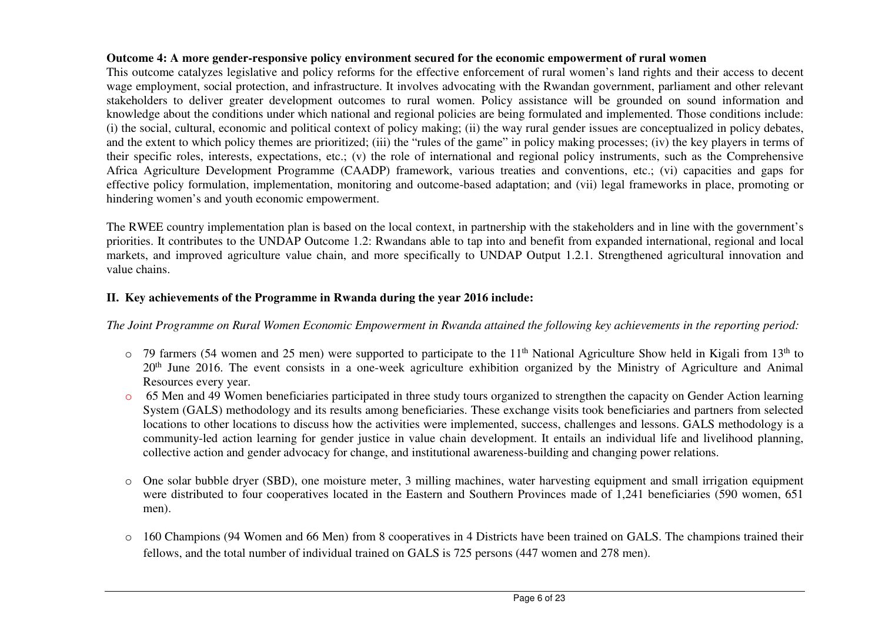## **Outcome 4: A more gender-responsive policy environment secured for the economic empowerment of rural women**

 This outcome catalyzes legislative and policy reforms for the effective enforcement of rural women's land rights and their access to decent wage employment, social protection, and infrastructure. It involves advocating with the Rwandan government, parliament and other relevant stakeholders to deliver greater development outcomes to rural women. Policy assistance will be grounded on sound information and knowledge about the conditions under which national and regional policies are being formulated and implemented. Those conditions include: (i) the social, cultural, economic and political context of policy making; (ii) the way rural gender issues are conceptualized in policy debates, and the extent to which policy themes are prioritized; (iii) the "rules of the game" in policy making processes; (iv) the key players in terms of their specific roles, interests, expectations, etc.; (v) the role of international and regional policy instruments, such as the Comprehensive Africa Agriculture Development Programme (CAADP) framework, various treaties and conventions, etc.; (vi) capacities and gaps for effective policy formulation, implementation, monitoring and outcome-based adaptation; and (vii) legal frameworks in place, promoting or hindering women's and youth economic empowerment.

The RWEE country implementation plan is based on the local context, in partnership with the stakeholders and in line with the government's priorities. It contributes to the UNDAP Outcome 1.2: Rwandans able to tap into and benefit from expanded international, regional and local markets, and improved agriculture value chain, and more specifically to UNDAP Output 1.2.1. Strengthened agricultural innovation and value chains.

## **II. Key achievements of the Programme in Rwanda during the year 2016 include:**

## *The Joint Programme on Rural Women Economic Empowerment in Rwanda attained the following key achievements in the reporting period:*

- $\circ$  79 farmers (54 women and 25 men) were supported to participate to the 11<sup>th</sup> National Agriculture Show held in Kigali from 13<sup>th</sup> to 20<sup>th</sup> June 2016. The event consists in a one-week agriculture exhibition organized by the Ministry of Agriculture and Animal Resources every year.
- o 65 Men and 49 Women beneficiaries participated in three study tours organized to strengthen the capacity on Gender Action learning System (GALS) methodology and its results among beneficiaries. These exchange visits took beneficiaries and partners from selected locations to other locations to discuss how the activities were implemented, success, challenges and lessons. GALS methodology is a community-led action learning for gender justice in value chain development. It entails an individual life and livelihood planning, collective action and gender advocacy for change, and institutional awareness-building and changing power relations.
- o One solar bubble dryer (SBD), one moisture meter, 3 milling machines, water harvesting equipment and small irrigation equipment were distributed to four cooperatives located in the Eastern and Southern Provinces made of 1,241 beneficiaries (590 women, 651 men).
- o 160 Champions (94 Women and 66 Men) from 8 cooperatives in 4 Districts have been trained on GALS. The champions trained their fellows, and the total number of individual trained on GALS is 725 persons (447 women and 278 men).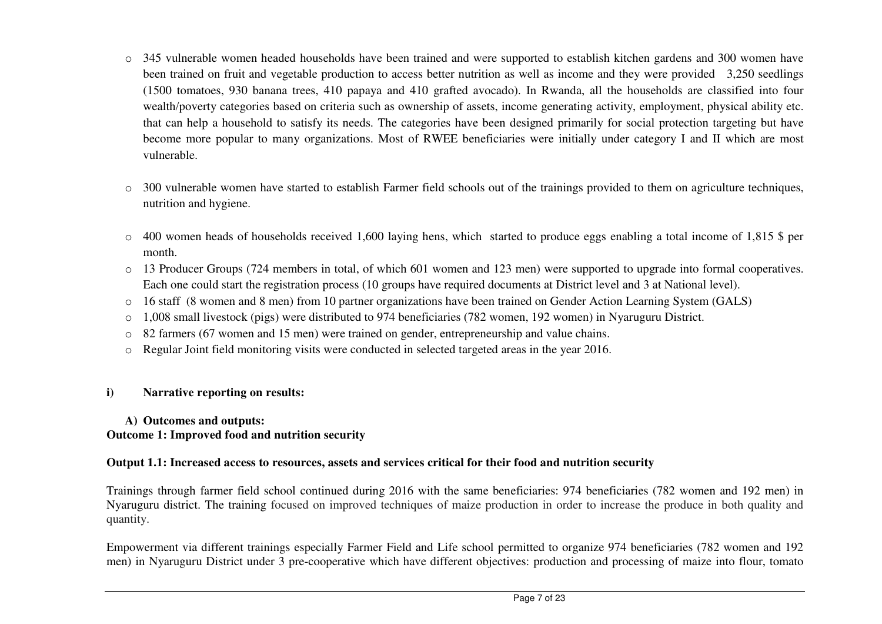- o 345 vulnerable women headed households have been trained and were supported to establish kitchen gardens and 300 women have been trained on fruit and vegetable production to access better nutrition as well as income and they were provided 3,250 seedlings (1500 tomatoes, 930 banana trees, 410 papaya and 410 grafted avocado). In Rwanda, all the households are classified into four wealth/poverty categories based on criteria such as ownership of assets, income generating activity, employment, physical ability etc. that can help a household to satisfy its needs. The categories have been designed primarily for social protection targeting but have become more popular to many organizations. Most of RWEE beneficiaries were initially under category I and II which are most vulnerable.
- o 300 vulnerable women have started to establish Farmer field schools out of the trainings provided to them on agriculture techniques, nutrition and hygiene.
- o 400 women heads of households received 1,600 laying hens, which started to produce eggs enabling a total income of 1,815 \$ per month.
- o 13 Producer Groups (724 members in total, of which 601 women and 123 men) were supported to upgrade into formal cooperatives. Each one could start the registration process (10 groups have required documents at District level and 3 at National level).
- o 16 staff (8 women and 8 men) from 10 partner organizations have been trained on Gender Action Learning System (GALS)
- o1,008 small livestock (pigs) were distributed to 974 beneficiaries (782 women, 192 women) in Nyaruguru District.
- o82 farmers (67 women and 15 men) were trained on gender, entrepreneurship and value chains.
- oRegular Joint field monitoring visits were conducted in selected targeted areas in the year 2016.

#### **i)Narrative reporting on results:**

#### **A) Outcomes and outputs: Outcome 1: Improved food and nutrition security**

## **Output 1.1: Increased access to resources, assets and services critical for their food and nutrition security**

Trainings through farmer field school continued during 2016 with the same beneficiaries: 974 beneficiaries (782 women and 192 men) in Nyaruguru district. The training focused on improved techniques of maize production in order to increase the produce in both quality and quantity.

Empowerment via different trainings especially Farmer Field and Life school permitted to organize 974 beneficiaries (782 women and 192 men) in Nyaruguru District under 3 pre-cooperative which have different objectives: production and processing of maize into flour, tomato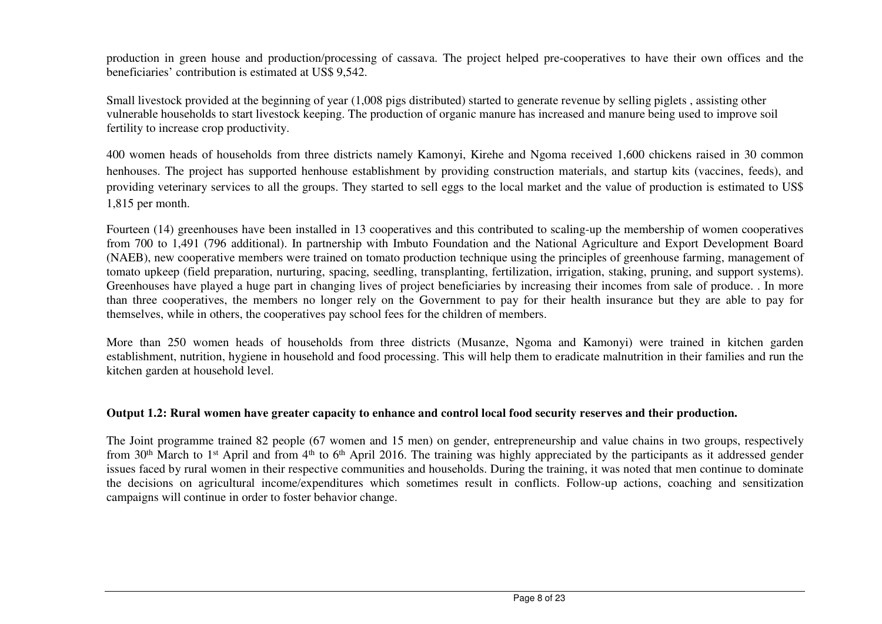production in green house and production/processing of cassava. The project helped pre-cooperatives to have their own offices and the beneficiaries' contribution is estimated at US\$ 9,542.

Small livestock provided at the beginning of year (1,008 pigs distributed) started to generate revenue by selling piglets , assisting other vulnerable households to start livestock keeping. The production of organic manure has increased and manure being used to improve soil fertility to increase crop productivity.

400 women heads of households from three districts namely Kamonyi, Kirehe and Ngoma received 1,600 chickens raised in 30 common henhouses. The project has supported henhouse establishment by providing construction materials, and startup kits (vaccines, feeds), and providing veterinary services to all the groups. They started to sell eggs to the local market and the value of production is estimated to US\$ 1,815 per month.

Fourteen (14) greenhouses have been installed in 13 cooperatives and this contributed to scaling-up the membership of women cooperatives from 700 to 1,491 (796 additional). In partnership with Imbuto Foundation and the National Agriculture and Export Development Board (NAEB), new cooperative members were trained on tomato production technique using the principles of greenhouse farming, management of tomato upkeep (field preparation, nurturing, spacing, seedling, transplanting, fertilization, irrigation, staking, pruning, and support systems). Greenhouses have played a huge part in changing lives of project beneficiaries by increasing their incomes from sale of produce. . In more than three cooperatives, the members no longer rely on the Government to pay for their health insurance but they are able to pay for themselves, while in others, the cooperatives pay school fees for the children of members.

More than 250 women heads of households from three districts (Musanze, Ngoma and Kamonyi) were trained in kitchen garden establishment, nutrition, hygiene in household and food processing. This will help them to eradicate malnutrition in their families and run the kitchen garden at household level.

#### **Output 1.2: Rural women have greater capacity to enhance and control local food security reserves and their production.**

The Joint programme trained 82 people (67 women and 15 men) on gender, entrepreneurship and value chains in two groups, respectively from 30<sup>th</sup> March to 1<sup>st</sup> April and from 4<sup>th</sup> to 6<sup>th</sup> April 2016. The training was highly appreciated by the participants as it addressed gender issues faced by rural women in their respective communities and households. During the training, it was noted that men continue to dominate the decisions on agricultural income/expenditures which sometimes result in conflicts. Follow-up actions, coaching and sensitization campaigns will continue in order to foster behavior change.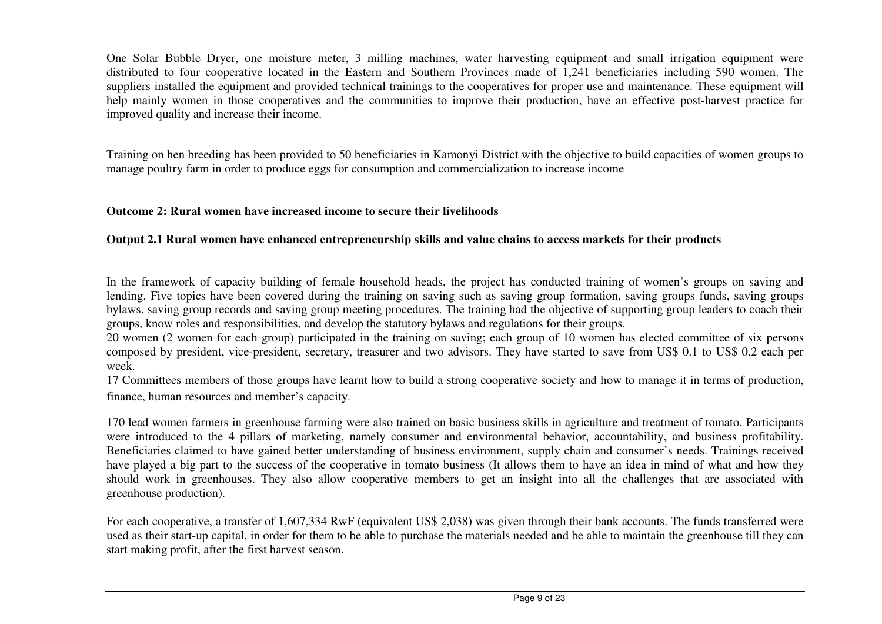One Solar Bubble Dryer, one moisture meter, 3 milling machines, water harvesting equipment and small irrigation equipment were distributed to four cooperative located in the Eastern and Southern Provinces made of 1,241 beneficiaries including 590 women. The suppliers installed the equipment and provided technical trainings to the cooperatives for proper use and maintenance. These equipment will help mainly women in those cooperatives and the communities to improve their production, have an effective post-harvest practice for improved quality and increase their income.

Training on hen breeding has been provided to 50 beneficiaries in Kamonyi District with the objective to build capacities of women groups to manage poultry farm in order to produce eggs for consumption and commercialization to increase income

#### **Outcome 2: Rural women have increased income to secure their livelihoods**

#### **Output 2.1 Rural women have enhanced entrepreneurship skills and value chains to access markets for their products**

In the framework of capacity building of female household heads, the project has conducted training of women's groups on saving and lending. Five topics have been covered during the training on saving such as saving group formation, saving groups funds, saving groups bylaws, saving group records and saving group meeting procedures. The training had the objective of supporting group leaders to coach their groups, know roles and responsibilities, and develop the statutory bylaws and regulations for their groups.

 20 women (2 women for each group) participated in the training on saving; each group of 10 women has elected committee of six persons composed by president, vice-president, secretary, treasurer and two advisors. They have started to save from US\$ 0.1 to US\$ 0.2 each per week.

17 Committees members of those groups have learnt how to build a strong cooperative society and how to manage it in terms of production, finance, human resources and member's capacity.

170 lead women farmers in greenhouse farming were also trained on basic business skills in agriculture and treatment of tomato. Participants were introduced to the 4 pillars of marketing, namely consumer and environmental behavior, accountability, and business profitability. Beneficiaries claimed to have gained better understanding of business environment, supply chain and consumer's needs. Trainings received have played a big part to the success of the cooperative in tomato business (It allows them to have an idea in mind of what and how they should work in greenhouses. They also allow cooperative members to get an insight into all the challenges that are associated with greenhouse production).

For each cooperative, a transfer of 1,607,334 RwF (equivalent US\$ 2,038) was given through their bank accounts. The funds transferred were used as their start-up capital, in order for them to be able to purchase the materials needed and be able to maintain the greenhouse till they can start making profit, after the first harvest season.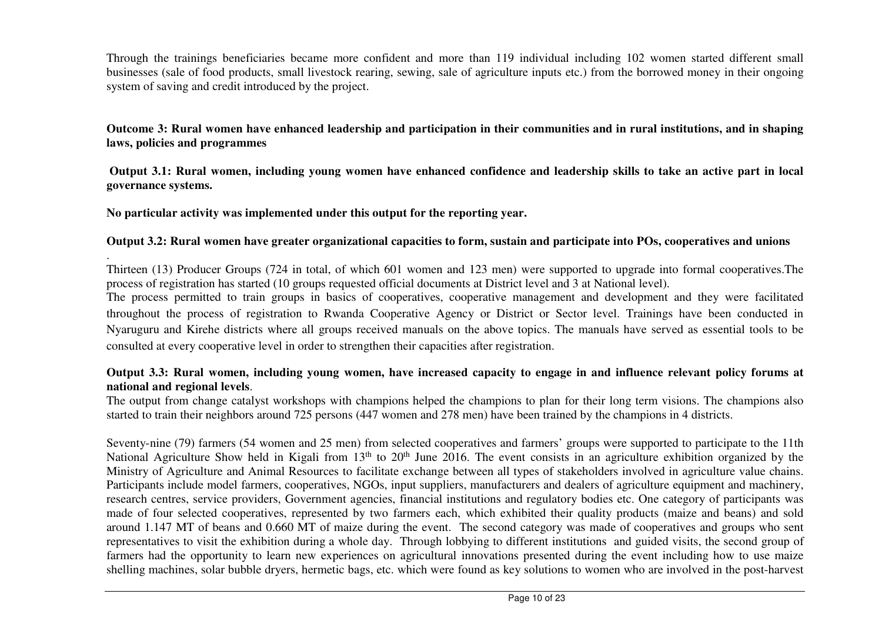Through the trainings beneficiaries became more confident and more than 119 individual including 102 women started different small businesses (sale of food products, small livestock rearing, sewing, sale of agriculture inputs etc.) from the borrowed money in their ongoing system of saving and credit introduced by the project.

**Outcome 3: Rural women have enhanced leadership and participation in their communities and in rural institutions, and in shaping laws, policies and programmes** 

**Output 3.1: Rural women, including young women have enhanced confidence and leadership skills to take an active part in local governance systems.** 

**No particular activity was implemented under this output for the reporting year.** 

.

#### **Output 3.2: Rural women have greater organizational capacities to form, sustain and participate into POs, cooperatives and unions**

Thirteen (13) Producer Groups (724 in total, of which 601 women and 123 men) were supported to upgrade into formal cooperatives.The process of registration has started (10 groups requested official documents at District level and 3 at National level).

 The process permitted to train groups in basics of cooperatives, cooperative management and development and they were facilitated throughout the process of registration to Rwanda Cooperative Agency or District or Sector level. Trainings have been conducted in Nyaruguru and Kirehe districts where all groups received manuals on the above topics. The manuals have served as essential tools to be consulted at every cooperative level in order to strengthen their capacities after registration.

#### **Output 3.3: Rural women, including young women, have increased capacity to engage in and influence relevant policy forums at national and regional levels**.

 The output from change catalyst workshops with champions helped the champions to plan for their long term visions. The champions also started to train their neighbors around 725 persons (447 women and 278 men) have been trained by the champions in 4 districts.

Seventy-nine (79) farmers (54 women and 25 men) from selected cooperatives and farmers' groups were supported to participate to the 11th National Agriculture Show held in Kigali from 13<sup>th</sup> to 20<sup>th</sup> June 2016. The event consists in an agriculture exhibition organized by the Ministry of Agriculture and Animal Resources to facilitate exchange between all types of stakeholders involved in agriculture value chains. Participants include model farmers, cooperatives, NGOs, input suppliers, manufacturers and dealers of agriculture equipment and machinery, research centres, service providers, Government agencies, financial institutions and regulatory bodies etc. One category of participants was made of four selected cooperatives, represented by two farmers each, which exhibited their quality products (maize and beans) and sold around 1.147 MT of beans and 0.660 MT of maize during the event. The second category was made of cooperatives and groups who sent representatives to visit the exhibition during a whole day. Through lobbying to different institutions and guided visits, the second group of farmers had the opportunity to learn new experiences on agricultural innovations presented during the event including how to use maize shelling machines, solar bubble dryers, hermetic bags, etc. which were found as key solutions to women who are involved in the post-harvest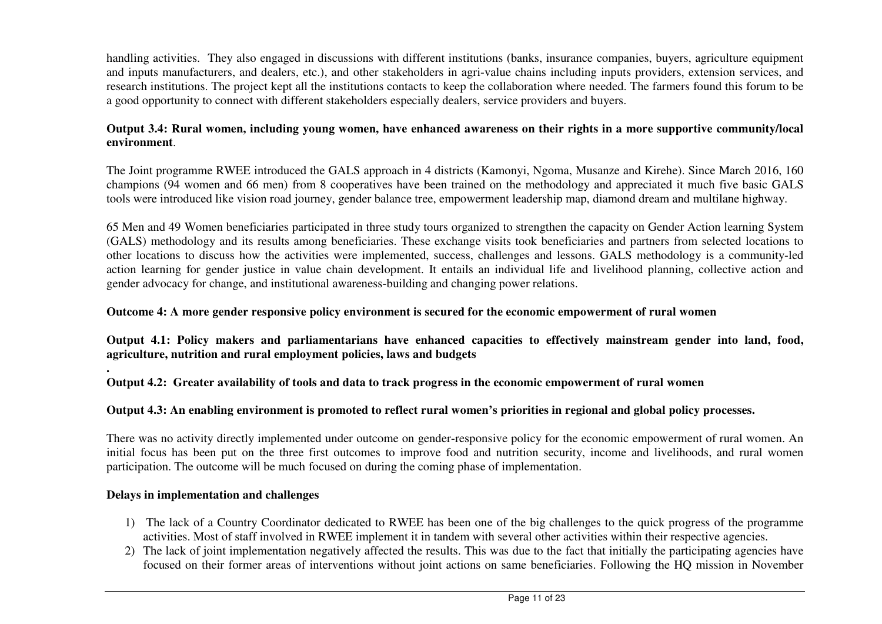handling activities. They also engaged in discussions with different institutions (banks, insurance companies, buyers, agriculture equipment and inputs manufacturers, and dealers, etc.), and other stakeholders in agri-value chains including inputs providers, extension services, and research institutions. The project kept all the institutions contacts to keep the collaboration where needed. The farmers found this forum to be a good opportunity to connect with different stakeholders especially dealers, service providers and buyers.

### **Output 3.4: Rural women, including young women, have enhanced awareness on their rights in a more supportive community/local environment**.

The Joint programme RWEE introduced the GALS approach in 4 districts (Kamonyi, Ngoma, Musanze and Kirehe). Since March 2016, 160 champions (94 women and 66 men) from 8 cooperatives have been trained on the methodology and appreciated it much five basic GALS tools were introduced like vision road journey, gender balance tree, empowerment leadership map, diamond dream and multilane highway.

65 Men and 49 Women beneficiaries participated in three study tours organized to strengthen the capacity on Gender Action learning System (GALS) methodology and its results among beneficiaries. These exchange visits took beneficiaries and partners from selected locations to other locations to discuss how the activities were implemented, success, challenges and lessons. GALS methodology is a community-led action learning for gender justice in value chain development. It entails an individual life and livelihood planning, collective action and gender advocacy for change, and institutional awareness-building and changing power relations.

#### **Outcome 4: A more gender responsive policy environment is secured for the economic empowerment of rural women**

**Output 4.1: Policy makers and parliamentarians have enhanced capacities to effectively mainstream gender into land, food, agriculture, nutrition and rural employment policies, laws and budgets** 

**Output 4.2: Greater availability of tools and data to track progress in the economic empowerment of rural women** 

## **Output 4.3: An enabling environment is promoted to reflect rural women's priorities in regional and global policy processes.**

There was no activity directly implemented under outcome on gender-responsive policy for the economic empowerment of rural women. An initial focus has been put on the three first outcomes to improve food and nutrition security, income and livelihoods, and rural women participation. The outcome will be much focused on during the coming phase of implementation.

#### **Delays in implementation and challenges**

**.** 

- 1) The lack of a Country Coordinator dedicated to RWEE has been one of the big challenges to the quick progress of the programme activities. Most of staff involved in RWEE implement it in tandem with several other activities within their respective agencies.
- 2) The lack of joint implementation negatively affected the results. This was due to the fact that initially the participating agencies have focused on their former areas of interventions without joint actions on same beneficiaries. Following the HQ mission in November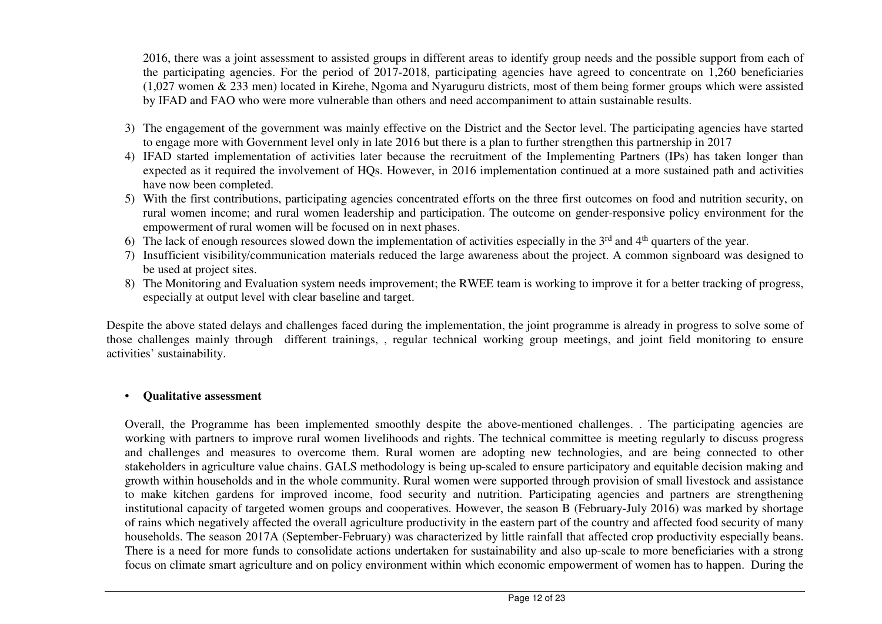2016, there was a joint assessment to assisted groups in different areas to identify group needs and the possible support from each of the participating agencies. For the period of 2017-2018, participating agencies have agreed to concentrate on 1,260 beneficiaries (1,027 women & 233 men) located in Kirehe, Ngoma and Nyaruguru districts, most of them being former groups which were assisted by IFAD and FAO who were more vulnerable than others and need accompaniment to attain sustainable results.

- 3) The engagement of the government was mainly effective on the District and the Sector level. The participating agencies have started to engage more with Government level only in late 2016 but there is a plan to further strengthen this partnership in 2017
- 4) IFAD started implementation of activities later because the recruitment of the Implementing Partners (IPs) has taken longer than expected as it required the involvement of HQs. However, in 2016 implementation continued at a more sustained path and activities have now been completed.
- 5) With the first contributions, participating agencies concentrated efforts on the three first outcomes on food and nutrition security, on rural women income; and rural women leadership and participation. The outcome on gender-responsive policy environment for the empowerment of rural women will be focused on in next phases.
- 6) The lack of enough resources slowed down the implementation of activities especially in the  $3<sup>rd</sup>$  and  $4<sup>th</sup>$  quarters of the year.
- 7) Insufficient visibility/communication materials reduced the large awareness about the project. A common signboard was designed to be used at project sites.
- 8) The Monitoring and Evaluation system needs improvement; the RWEE team is working to improve it for a better tracking of progress, especially at output level with clear baseline and target.

Despite the above stated delays and challenges faced during the implementation, the joint programme is already in progress to solve some of those challenges mainly through different trainings, , regular technical working group meetings, and joint field monitoring to ensure activities' sustainability.

#### • **Qualitative assessment**

Overall, the Programme has been implemented smoothly despite the above-mentioned challenges. . The participating agencies are working with partners to improve rural women livelihoods and rights. The technical committee is meeting regularly to discuss progress and challenges and measures to overcome them. Rural women are adopting new technologies, and are being connected to other stakeholders in agriculture value chains. GALS methodology is being up-scaled to ensure participatory and equitable decision making and growth within households and in the whole community. Rural women were supported through provision of small livestock and assistance to make kitchen gardens for improved income, food security and nutrition. Participating agencies and partners are strengthening institutional capacity of targeted women groups and cooperatives. However, the season B (February-July 2016) was marked by shortage of rains which negatively affected the overall agriculture productivity in the eastern part of the country and affected food security of many households. The season 2017A (September-February) was characterized by little rainfall that affected crop productivity especially beans. There is a need for more funds to consolidate actions undertaken for sustainability and also up-scale to more beneficiaries with a strong focus on climate smart agriculture and on policy environment within which economic empowerment of women has to happen. During the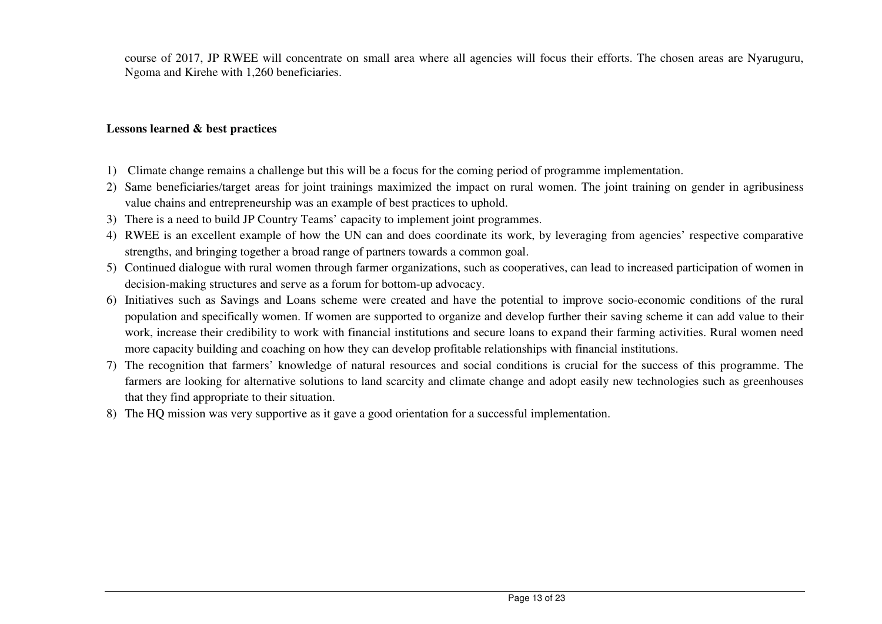course of 2017, JP RWEE will concentrate on small area where all agencies will focus their efforts. The chosen areas are Nyaruguru, Ngoma and Kirehe with 1,260 beneficiaries.

#### **Lessons learned & best practices**

- 1) Climate change remains a challenge but this will be a focus for the coming period of programme implementation.
- 2) Same beneficiaries/target areas for joint trainings maximized the impact on rural women. The joint training on gender in agribusiness value chains and entrepreneurship was an example of best practices to uphold.
- 3) There is a need to build JP Country Teams' capacity to implement joint programmes.
- 4) RWEE is an excellent example of how the UN can and does coordinate its work, by leveraging from agencies' respective comparative strengths, and bringing together a broad range of partners towards a common goal.
- 5) Continued dialogue with rural women through farmer organizations, such as cooperatives, can lead to increased participation of women in decision-making structures and serve as a forum for bottom-up advocacy.
- 6) Initiatives such as Savings and Loans scheme were created and have the potential to improve socio-economic conditions of the rural population and specifically women. If women are supported to organize and develop further their saving scheme it can add value to their work, increase their credibility to work with financial institutions and secure loans to expand their farming activities. Rural women need more capacity building and coaching on how they can develop profitable relationships with financial institutions.
- 7) The recognition that farmers' knowledge of natural resources and social conditions is crucial for the success of this programme. The farmers are looking for alternative solutions to land scarcity and climate change and adopt easily new technologies such as greenhouses that they find appropriate to their situation.
- 8) The HQ mission was very supportive as it gave a good orientation for a successful implementation.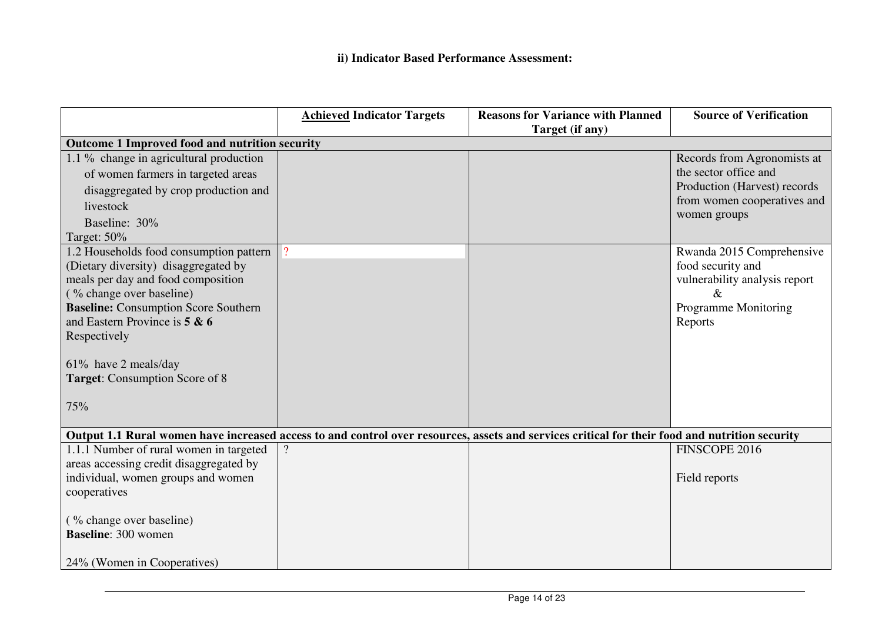|                                                                                                                                                | <b>Achieved Indicator Targets</b> | <b>Reasons for Variance with Planned</b><br>Target (if any) | <b>Source of Verification</b> |
|------------------------------------------------------------------------------------------------------------------------------------------------|-----------------------------------|-------------------------------------------------------------|-------------------------------|
| Outcome 1 Improved food and nutrition security                                                                                                 |                                   |                                                             |                               |
| 1.1 % change in agricultural production                                                                                                        |                                   |                                                             | Records from Agronomists at   |
| of women farmers in targeted areas                                                                                                             |                                   |                                                             | the sector office and         |
| disaggregated by crop production and                                                                                                           |                                   |                                                             | Production (Harvest) records  |
| livestock                                                                                                                                      |                                   |                                                             | from women cooperatives and   |
| Baseline: 30%                                                                                                                                  |                                   |                                                             | women groups                  |
| Target: 50%                                                                                                                                    |                                   |                                                             |                               |
| 1.2 Households food consumption pattern                                                                                                        |                                   |                                                             | Rwanda 2015 Comprehensive     |
| (Dietary diversity) disaggregated by                                                                                                           |                                   |                                                             | food security and             |
| meals per day and food composition                                                                                                             |                                   |                                                             | vulnerability analysis report |
| (% change over baseline)                                                                                                                       |                                   |                                                             | $\&$                          |
| <b>Baseline:</b> Consumption Score Southern<br>and Eastern Province is $5 & 6$                                                                 |                                   |                                                             | Programme Monitoring          |
| Respectively                                                                                                                                   |                                   |                                                             | Reports                       |
|                                                                                                                                                |                                   |                                                             |                               |
| 61% have 2 meals/day                                                                                                                           |                                   |                                                             |                               |
| <b>Target:</b> Consumption Score of 8                                                                                                          |                                   |                                                             |                               |
|                                                                                                                                                |                                   |                                                             |                               |
| 75%                                                                                                                                            |                                   |                                                             |                               |
|                                                                                                                                                |                                   |                                                             |                               |
| Output 1.1 Rural women have increased access to and control over resources, assets and services critical for their food and nutrition security |                                   |                                                             |                               |
| 1.1.1 Number of rural women in targeted                                                                                                        | $\overline{?}$                    |                                                             | FINSCOPE 2016                 |
| areas accessing credit disaggregated by                                                                                                        |                                   |                                                             |                               |
| individual, women groups and women                                                                                                             |                                   |                                                             | Field reports                 |
| cooperatives                                                                                                                                   |                                   |                                                             |                               |
| (% change over baseline)                                                                                                                       |                                   |                                                             |                               |
| <b>Baseline: 300 women</b>                                                                                                                     |                                   |                                                             |                               |
|                                                                                                                                                |                                   |                                                             |                               |
| 24% (Women in Cooperatives)                                                                                                                    |                                   |                                                             |                               |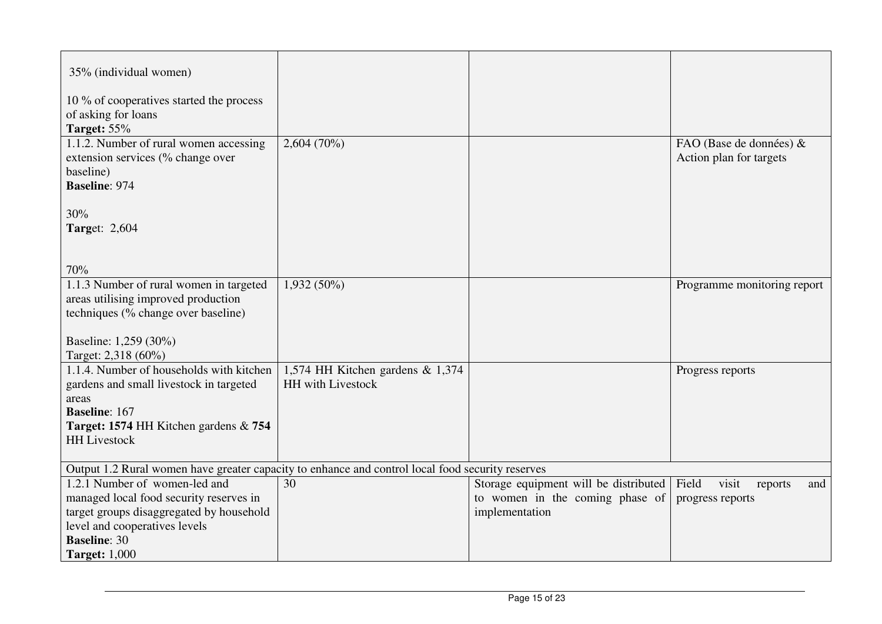| 35% (individual women)<br>10 % of cooperatives started the process<br>of asking for loans<br>Target: 55% |                                  |                                       |                                                    |
|----------------------------------------------------------------------------------------------------------|----------------------------------|---------------------------------------|----------------------------------------------------|
| 1.1.2. Number of rural women accessing<br>extension services (% change over                              | $2,604(70\%)$                    |                                       | FAO (Base de données) &<br>Action plan for targets |
| baseline)                                                                                                |                                  |                                       |                                                    |
| <b>Baseline: 974</b>                                                                                     |                                  |                                       |                                                    |
| 30%                                                                                                      |                                  |                                       |                                                    |
| <b>Target: 2,604</b>                                                                                     |                                  |                                       |                                                    |
|                                                                                                          |                                  |                                       |                                                    |
| 70%                                                                                                      |                                  |                                       |                                                    |
| 1.1.3 Number of rural women in targeted                                                                  | $1,932(50\%)$                    |                                       | Programme monitoring report                        |
| areas utilising improved production                                                                      |                                  |                                       |                                                    |
| techniques (% change over baseline)                                                                      |                                  |                                       |                                                    |
| Baseline: 1,259 (30%)                                                                                    |                                  |                                       |                                                    |
| Target: 2,318 (60%)                                                                                      |                                  |                                       |                                                    |
| 1.1.4. Number of households with kitchen                                                                 | 1,574 HH Kitchen gardens & 1,374 |                                       | Progress reports                                   |
| gardens and small livestock in targeted                                                                  | HH with Livestock                |                                       |                                                    |
| areas                                                                                                    |                                  |                                       |                                                    |
| <b>Baseline: 167</b><br>Target: 1574 HH Kitchen gardens & 754                                            |                                  |                                       |                                                    |
| <b>HH Livestock</b>                                                                                      |                                  |                                       |                                                    |
|                                                                                                          |                                  |                                       |                                                    |
| Output 1.2 Rural women have greater capacity to enhance and control local food security reserves         |                                  |                                       |                                                    |
| 1.2.1 Number of women-led and                                                                            | 30                               | Storage equipment will be distributed | Field<br>visit<br>reports<br>and                   |
| managed local food security reserves in                                                                  |                                  | to women in the coming phase of       | progress reports                                   |
| target groups disaggregated by household                                                                 |                                  | implementation                        |                                                    |
| level and cooperatives levels                                                                            |                                  |                                       |                                                    |
| <b>Baseline: 30</b>                                                                                      |                                  |                                       |                                                    |
| <b>Target: 1,000</b>                                                                                     |                                  |                                       |                                                    |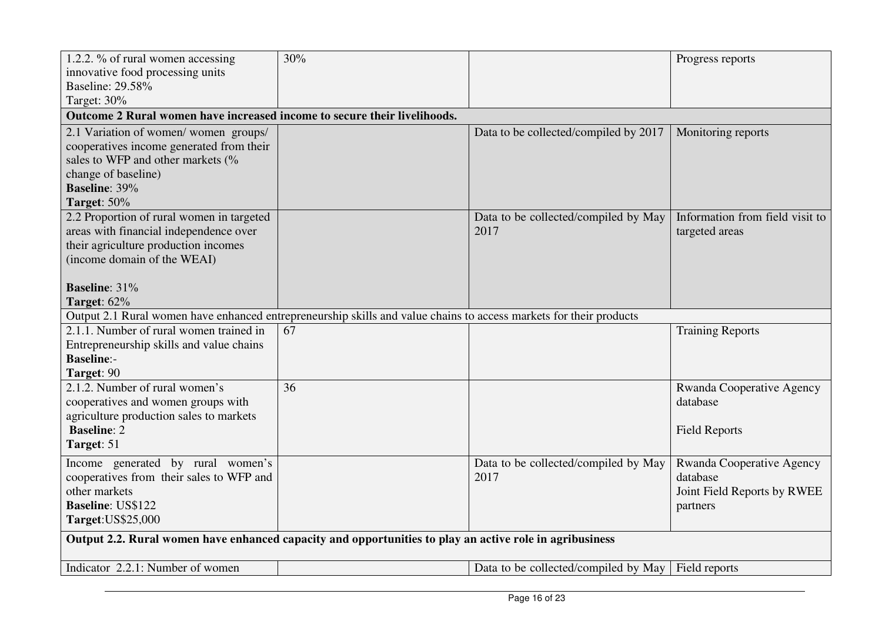| 1.2.2. % of rural women accessing<br>innovative food processing units<br><b>Baseline: 29.58%</b><br>Target: 30%                                                                                   | 30% |                                              | Progress reports                                                                 |  |
|---------------------------------------------------------------------------------------------------------------------------------------------------------------------------------------------------|-----|----------------------------------------------|----------------------------------------------------------------------------------|--|
| Outcome 2 Rural women have increased income to secure their livelihoods.                                                                                                                          |     |                                              |                                                                                  |  |
| 2.1 Variation of women/ women groups/<br>cooperatives income generated from their<br>sales to WFP and other markets (%<br>change of baseline)<br><b>Baseline: 39%</b><br>Target: 50%              |     | Data to be collected/compiled by 2017        | Monitoring reports                                                               |  |
| 2.2 Proportion of rural women in targeted<br>areas with financial independence over<br>their agriculture production incomes<br>(income domain of the WEAI)<br><b>Baseline: 31%</b><br>Target: 62% |     | Data to be collected/compiled by May<br>2017 | Information from field visit to<br>targeted areas                                |  |
| Output 2.1 Rural women have enhanced entrepreneurship skills and value chains to access markets for their products                                                                                |     |                                              |                                                                                  |  |
| 2.1.1. Number of rural women trained in<br>Entrepreneurship skills and value chains<br><b>Baseline:-</b><br>Target: 90                                                                            | 67  |                                              | <b>Training Reports</b>                                                          |  |
| 2.1.2. Number of rural women's<br>cooperatives and women groups with<br>agriculture production sales to markets<br><b>Baseline: 2</b><br>Target: 51                                               | 36  |                                              | Rwanda Cooperative Agency<br>database<br><b>Field Reports</b>                    |  |
| Income generated by rural women's<br>cooperatives from their sales to WFP and<br>other markets<br><b>Baseline: US\$122</b><br>Target: US\$25,000                                                  |     | Data to be collected/compiled by May<br>2017 | Rwanda Cooperative Agency<br>database<br>Joint Field Reports by RWEE<br>partners |  |
| Output 2.2. Rural women have enhanced capacity and opportunities to play an active role in agribusiness                                                                                           |     |                                              |                                                                                  |  |
| Indicator 2.2.1: Number of women                                                                                                                                                                  |     | Data to be collected/compiled by May         | Field reports                                                                    |  |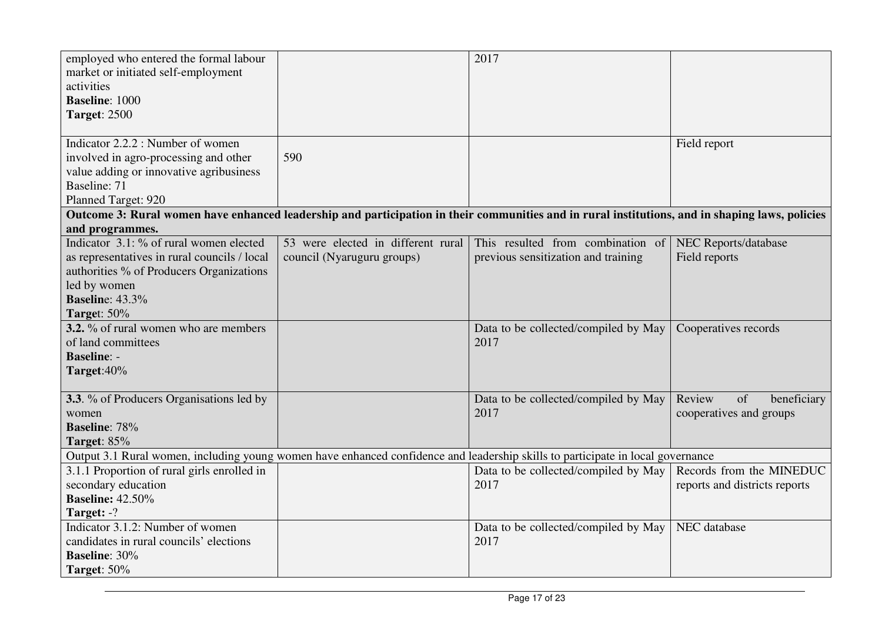| employed who entered the formal labour<br>market or initiated self-employment<br>activities                                                     |                                    | 2017                                 |                               |
|-------------------------------------------------------------------------------------------------------------------------------------------------|------------------------------------|--------------------------------------|-------------------------------|
| <b>Baseline: 1000</b>                                                                                                                           |                                    |                                      |                               |
| <b>Target: 2500</b>                                                                                                                             |                                    |                                      |                               |
|                                                                                                                                                 |                                    |                                      |                               |
| Indicator 2.2.2 : Number of women                                                                                                               |                                    |                                      | Field report                  |
| involved in agro-processing and other                                                                                                           | 590                                |                                      |                               |
| value adding or innovative agribusiness                                                                                                         |                                    |                                      |                               |
| Baseline: 71                                                                                                                                    |                                    |                                      |                               |
| Planned Target: 920                                                                                                                             |                                    |                                      |                               |
| Outcome 3: Rural women have enhanced leadership and participation in their communities and in rural institutions, and in shaping laws, policies |                                    |                                      |                               |
| and programmes.                                                                                                                                 |                                    |                                      |                               |
| Indicator 3.1: % of rural women elected                                                                                                         | 53 were elected in different rural | This resulted from combination of    | NEC Reports/database          |
| as representatives in rural councils / local                                                                                                    | council (Nyaruguru groups)         | previous sensitization and training  | Field reports                 |
| authorities % of Producers Organizations                                                                                                        |                                    |                                      |                               |
| led by women<br><b>Baseline: 43.3%</b>                                                                                                          |                                    |                                      |                               |
|                                                                                                                                                 |                                    |                                      |                               |
| Target: 50%<br>3.2. % of rural women who are members                                                                                            |                                    | Data to be collected/compiled by May | Cooperatives records          |
| of land committees                                                                                                                              |                                    | 2017                                 |                               |
| <b>Baseline: -</b>                                                                                                                              |                                    |                                      |                               |
| Target:40%                                                                                                                                      |                                    |                                      |                               |
|                                                                                                                                                 |                                    |                                      |                               |
| 3.3. % of Producers Organisations led by                                                                                                        |                                    | Data to be collected/compiled by May | Review<br>of<br>beneficiary   |
| women                                                                                                                                           |                                    | 2017                                 | cooperatives and groups       |
| <b>Baseline: 78%</b>                                                                                                                            |                                    |                                      |                               |
| Target: 85%                                                                                                                                     |                                    |                                      |                               |
| Output 3.1 Rural women, including young women have enhanced confidence and leadership skills to participate in local governance                 |                                    |                                      |                               |
| 3.1.1 Proportion of rural girls enrolled in                                                                                                     |                                    | Data to be collected/compiled by May | Records from the MINEDUC      |
| secondary education                                                                                                                             |                                    | 2017                                 | reports and districts reports |
| <b>Baseline: 42.50%</b>                                                                                                                         |                                    |                                      |                               |
| Target: -?                                                                                                                                      |                                    |                                      |                               |
| Indicator 3.1.2: Number of women                                                                                                                |                                    | Data to be collected/compiled by May | <b>NEC</b> database           |
| candidates in rural councils' elections                                                                                                         |                                    | 2017                                 |                               |
| <b>Baseline: 30%</b>                                                                                                                            |                                    |                                      |                               |
| <b>Target: 50%</b>                                                                                                                              |                                    |                                      |                               |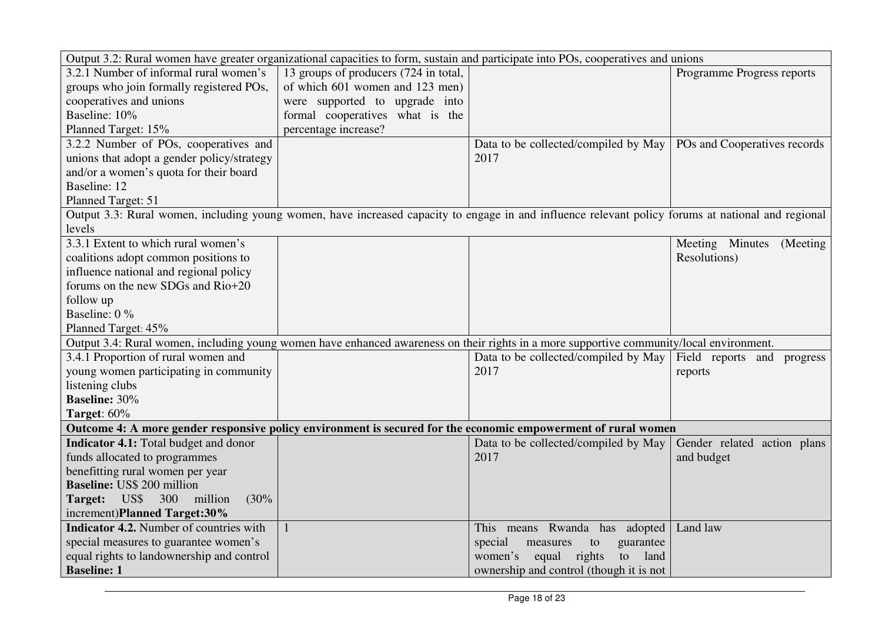| Output 3.2: Rural women have greater organizational capacities to form, sustain and participate into POs, cooperatives and unions                  |                                       |                                         |                              |  |
|----------------------------------------------------------------------------------------------------------------------------------------------------|---------------------------------------|-----------------------------------------|------------------------------|--|
| 3.2.1 Number of informal rural women's                                                                                                             | 13 groups of producers (724 in total, |                                         | Programme Progress reports   |  |
| groups who join formally registered POs,                                                                                                           | of which 601 women and 123 men)       |                                         |                              |  |
| cooperatives and unions                                                                                                                            | were supported to upgrade into        |                                         |                              |  |
| Baseline: 10%                                                                                                                                      | formal cooperatives what is the       |                                         |                              |  |
| Planned Target: 15%                                                                                                                                | percentage increase?                  |                                         |                              |  |
| 3.2.2 Number of POs, cooperatives and                                                                                                              |                                       | Data to be collected/compiled by May    | POs and Cooperatives records |  |
| unions that adopt a gender policy/strategy                                                                                                         |                                       | 2017                                    |                              |  |
| and/or a women's quota for their board                                                                                                             |                                       |                                         |                              |  |
| Baseline: 12                                                                                                                                       |                                       |                                         |                              |  |
| Planned Target: 51                                                                                                                                 |                                       |                                         |                              |  |
| Output 3.3: Rural women, including young women, have increased capacity to engage in and influence relevant policy forums at national and regional |                                       |                                         |                              |  |
| levels                                                                                                                                             |                                       |                                         |                              |  |
| 3.3.1 Extent to which rural women's                                                                                                                |                                       |                                         | Meeting Minutes<br>(Meeting) |  |
| coalitions adopt common positions to                                                                                                               |                                       |                                         | Resolutions)                 |  |
| influence national and regional policy                                                                                                             |                                       |                                         |                              |  |
| forums on the new SDGs and Rio+20                                                                                                                  |                                       |                                         |                              |  |
| follow up                                                                                                                                          |                                       |                                         |                              |  |
| Baseline: 0 %                                                                                                                                      |                                       |                                         |                              |  |
| Planned Target: 45%                                                                                                                                |                                       |                                         |                              |  |
| Output 3.4: Rural women, including young women have enhanced awareness on their rights in a more supportive community/local environment.           |                                       |                                         |                              |  |
| 3.4.1 Proportion of rural women and                                                                                                                |                                       | Data to be collected/compiled by May    | Field reports and progress   |  |
| young women participating in community                                                                                                             |                                       | 2017                                    | reports                      |  |
| listening clubs                                                                                                                                    |                                       |                                         |                              |  |
| <b>Baseline: 30%</b>                                                                                                                               |                                       |                                         |                              |  |
| Target: 60%                                                                                                                                        |                                       |                                         |                              |  |
| Outcome 4: A more gender responsive policy environment is secured for the economic empowerment of rural women                                      |                                       |                                         |                              |  |
| Indicator 4.1: Total budget and donor                                                                                                              |                                       | Data to be collected/compiled by May    | Gender related action plans  |  |
| funds allocated to programmes                                                                                                                      |                                       | 2017                                    | and budget                   |  |
| benefitting rural women per year                                                                                                                   |                                       |                                         |                              |  |
| <b>Baseline: US\$ 200 million</b>                                                                                                                  |                                       |                                         |                              |  |
| Target: US\$ 300<br>million<br>(30%                                                                                                                |                                       |                                         |                              |  |
| increment)Planned Target:30%                                                                                                                       |                                       |                                         |                              |  |
| <b>Indicator 4.2.</b> Number of countries with                                                                                                     | $\mathbf{1}$                          | This means Rwanda has adopted           | Land law                     |  |
| special measures to guarantee women's                                                                                                              |                                       | special<br>guarantee<br>measures<br>to  |                              |  |
| equal rights to landownership and control                                                                                                          |                                       | women's<br>equal<br>rights<br>to land   |                              |  |
| <b>Baseline: 1</b>                                                                                                                                 |                                       | ownership and control (though it is not |                              |  |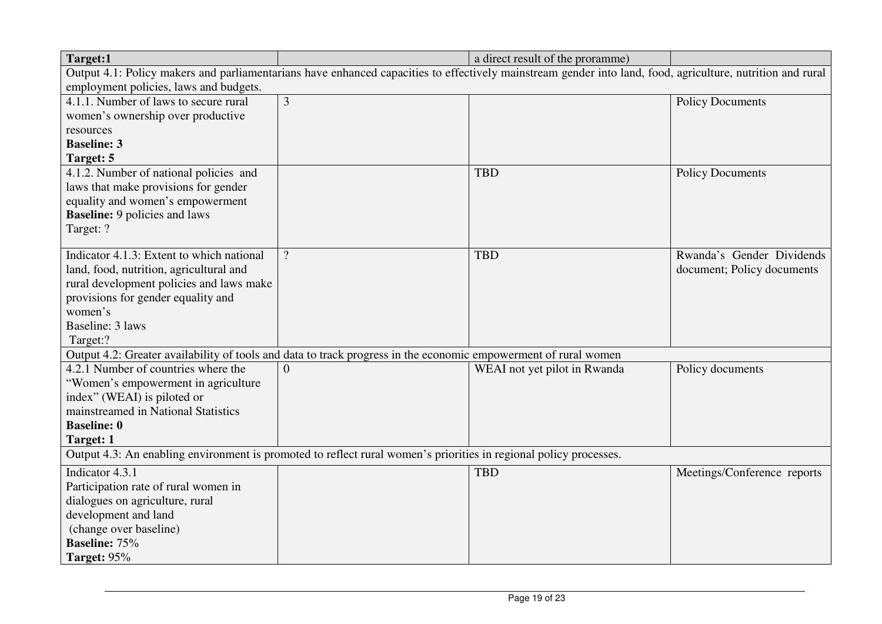| Target:1                                                                                                                                                   |                          | a direct result of the proramme) |                             |  |
|------------------------------------------------------------------------------------------------------------------------------------------------------------|--------------------------|----------------------------------|-----------------------------|--|
| Output 4.1: Policy makers and parliamentarians have enhanced capacities to effectively mainstream gender into land, food, agriculture, nutrition and rural |                          |                                  |                             |  |
| employment policies, laws and budgets.                                                                                                                     |                          |                                  |                             |  |
| 4.1.1. Number of laws to secure rural                                                                                                                      | $\overline{3}$           |                                  | <b>Policy Documents</b>     |  |
| women's ownership over productive                                                                                                                          |                          |                                  |                             |  |
| resources                                                                                                                                                  |                          |                                  |                             |  |
| <b>Baseline: 3</b>                                                                                                                                         |                          |                                  |                             |  |
| Target: 5                                                                                                                                                  |                          |                                  |                             |  |
| 4.1.2. Number of national policies and                                                                                                                     |                          | <b>TBD</b>                       | <b>Policy Documents</b>     |  |
| laws that make provisions for gender                                                                                                                       |                          |                                  |                             |  |
| equality and women's empowerment                                                                                                                           |                          |                                  |                             |  |
| <b>Baseline:</b> 9 policies and laws                                                                                                                       |                          |                                  |                             |  |
| Target: ?                                                                                                                                                  |                          |                                  |                             |  |
|                                                                                                                                                            |                          |                                  |                             |  |
| Indicator 4.1.3: Extent to which national                                                                                                                  | $\overline{\mathcal{L}}$ | <b>TBD</b>                       | Rwanda's Gender Dividends   |  |
| land, food, nutrition, agricultural and                                                                                                                    |                          |                                  | document; Policy documents  |  |
| rural development policies and laws make                                                                                                                   |                          |                                  |                             |  |
| provisions for gender equality and                                                                                                                         |                          |                                  |                             |  |
| women's                                                                                                                                                    |                          |                                  |                             |  |
| Baseline: 3 laws                                                                                                                                           |                          |                                  |                             |  |
| Target:?                                                                                                                                                   |                          |                                  |                             |  |
| Output 4.2: Greater availability of tools and data to track progress in the economic empowerment of rural women                                            |                          |                                  |                             |  |
| 4.2.1 Number of countries where the                                                                                                                        | $\theta$                 | WEAI not yet pilot in Rwanda     | Policy documents            |  |
| "Women's empowerment in agriculture                                                                                                                        |                          |                                  |                             |  |
| index" (WEAI) is piloted or                                                                                                                                |                          |                                  |                             |  |
| mainstreamed in National Statistics                                                                                                                        |                          |                                  |                             |  |
| <b>Baseline: 0</b>                                                                                                                                         |                          |                                  |                             |  |
| <b>Target: 1</b>                                                                                                                                           |                          |                                  |                             |  |
| Output 4.3: An enabling environment is promoted to reflect rural women's priorities in regional policy processes.                                          |                          |                                  |                             |  |
| Indicator 4.3.1                                                                                                                                            |                          | <b>TBD</b>                       | Meetings/Conference reports |  |
| Participation rate of rural women in                                                                                                                       |                          |                                  |                             |  |
| dialogues on agriculture, rural                                                                                                                            |                          |                                  |                             |  |
| development and land                                                                                                                                       |                          |                                  |                             |  |
| (change over baseline)                                                                                                                                     |                          |                                  |                             |  |
| <b>Baseline: 75%</b>                                                                                                                                       |                          |                                  |                             |  |
| Target: 95%                                                                                                                                                |                          |                                  |                             |  |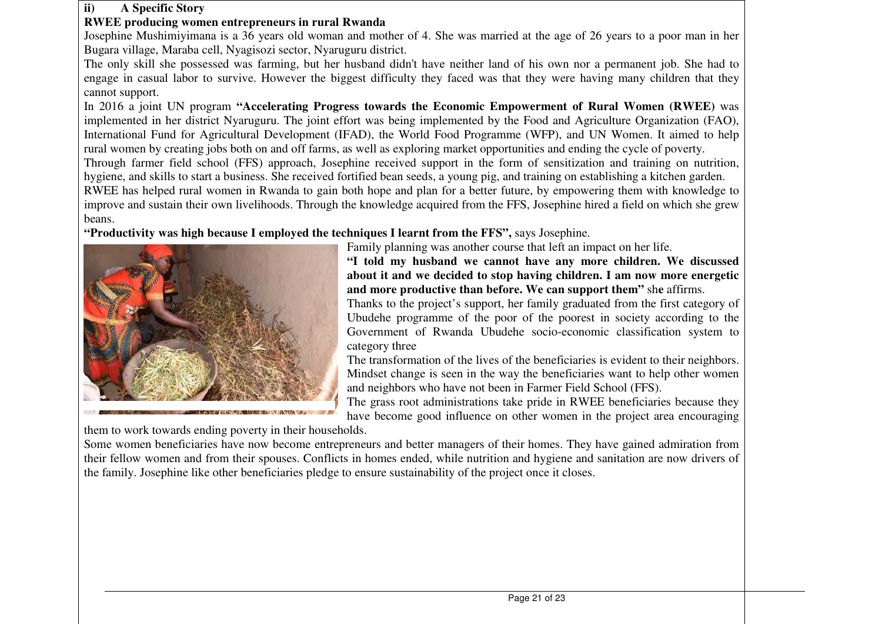#### **ii)A Specific Story**

# **RWEE producing women entrepreneurs in rural Rwanda**

 Josephine Mushimiyimana is a 36 years old woman and mother of 4. She was married at the age of 26 years to a poor man in her Bugara village, Maraba cell, Nyagisozi sector, Nyaruguru district.

 The only skill she possessed was farming, but her husband didn't have neither land of his own nor a permanent job. She had to engage in casual labor to survive. However the biggest difficulty they faced was that they were having many children that they cannot support.

 In 2016 a joint UN program **"Accelerating Progress towards the Economic Empowerment of Rural Women (RWEE)** was implemented in her district Nyaruguru. The joint effort was being implemented by the Food and Agriculture Organization (FAO), International Fund for Agricultural Development (IFAD), the World Food Programme (WFP), and UN Women. It aimed to help rural women by creating jobs both on and off farms, as well as exploring market opportunities and ending the cycle of poverty. Through farmer field school (FFS) approach, Josephine received support in the form of sensitization and training on nutrition, hygiene, and skills to start a business. She received fortified bean seeds, a young pig, and training on establishing a kitchen garden. RWEE has helped rural women in Rwanda to gain both hope and plan for a better future, by empowering them with knowledge to improve and sustain their own livelihoods. Through the knowledge acquired from the FFS, Josephine hired a field on which she grew beans.

# **"Productivity was high because I employed the techniques I learnt from the FFS",** says Josephine.



Family planning was another course that left an impact on her life.

 **"I told my husband we cannot have any more children. We discussed about it and we decided to stop having children. I am now more energetic and more productive than before. We can support them"** sh**e** affirms.

 Thanks to the project's support, her family graduated from the first category of Ubudehe programme of the poor of the poorest in society according to the Government of Rwanda Ubudehe socio-economic classification system to category three

 The transformation of the lives of the beneficiaries is evident to their neighbors. Mindset change is seen in the way the beneficiaries want to help other women and neighbors who have not been in Farmer Field School (FFS).

 The grass root administrations take pride in RWEE beneficiaries because they have become good influence on other women in the project area encouraging

them to work towards ending poverty in their households.

 Some women beneficiaries have now become entrepreneurs and better managers of their homes. They have gained admiration from their fellow women and from their spouses. Conflicts in homes ended, while nutrition and hygiene and sanitation are now drivers of the family. Josephine like other beneficiaries pledge to ensure sustainability of the project once it closes.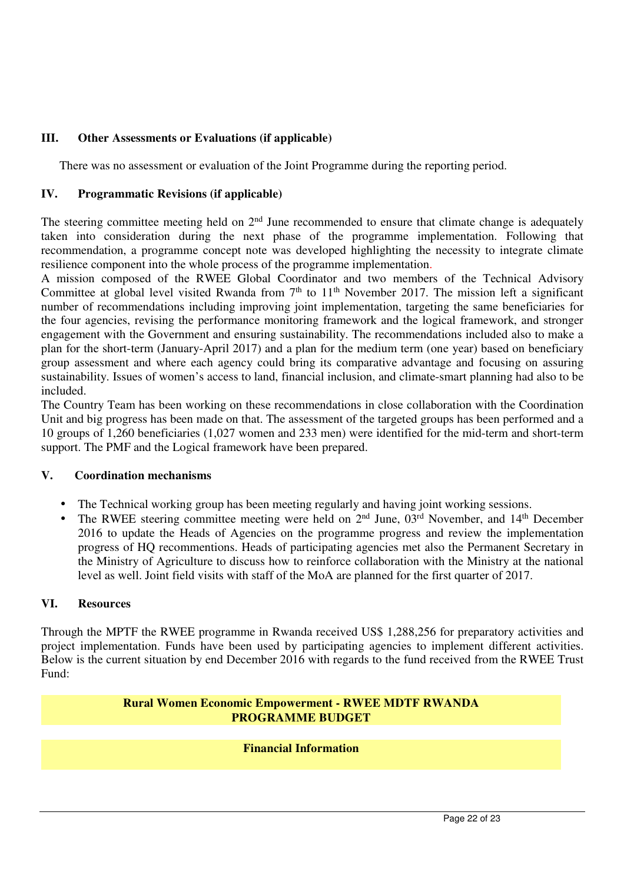# **III. Other Assessments or Evaluations (if applicable)**

There was no assessment or evaluation of the Joint Programme during the reporting period.

## **IV. Programmatic Revisions (if applicable)**

The steering committee meeting held on  $2<sup>nd</sup>$  June recommended to ensure that climate change is adequately taken into consideration during the next phase of the programme implementation. Following that recommendation, a programme concept note was developed highlighting the necessity to integrate climate resilience component into the whole process of the programme implementation.

A mission composed of the RWEE Global Coordinator and two members of the Technical Advisory Committee at global level visited Rwanda from  $7<sup>th</sup>$  to  $11<sup>th</sup>$  November 2017. The mission left a significant number of recommendations including improving joint implementation, targeting the same beneficiaries for the four agencies, revising the performance monitoring framework and the logical framework, and stronger engagement with the Government and ensuring sustainability. The recommendations included also to make a plan for the short-term (January-April 2017) and a plan for the medium term (one year) based on beneficiary group assessment and where each agency could bring its comparative advantage and focusing on assuring sustainability. Issues of women's access to land, financial inclusion, and climate-smart planning had also to be included.

The Country Team has been working on these recommendations in close collaboration with the Coordination Unit and big progress has been made on that. The assessment of the targeted groups has been performed and a 10 groups of 1,260 beneficiaries (1,027 women and 233 men) were identified for the mid-term and short-term support. The PMF and the Logical framework have been prepared.

### **V. Coordination mechanisms**

- The Technical working group has been meeting regularly and having joint working sessions.
- The RWEE steering committee meeting were held on  $2<sup>nd</sup>$  June,  $0<sup>3rd</sup>$  November, and  $14<sup>th</sup>$  December 2016 to update the Heads of Agencies on the programme progress and review the implementation progress of HQ recommentions. Heads of participating agencies met also the Permanent Secretary in the Ministry of Agriculture to discuss how to reinforce collaboration with the Ministry at the national level as well. Joint field visits with staff of the MoA are planned for the first quarter of 2017.

#### **VI. Resources**

Through the MPTF the RWEE programme in Rwanda received US\$ 1,288,256 for preparatory activities and project implementation. Funds have been used by participating agencies to implement different activities. Below is the current situation by end December 2016 with regards to the fund received from the RWEE Trust Fund:

#### **Rural Women Economic Empowerment - RWEE MDTF RWANDA PROGRAMME BUDGET**

#### **Financial Information**